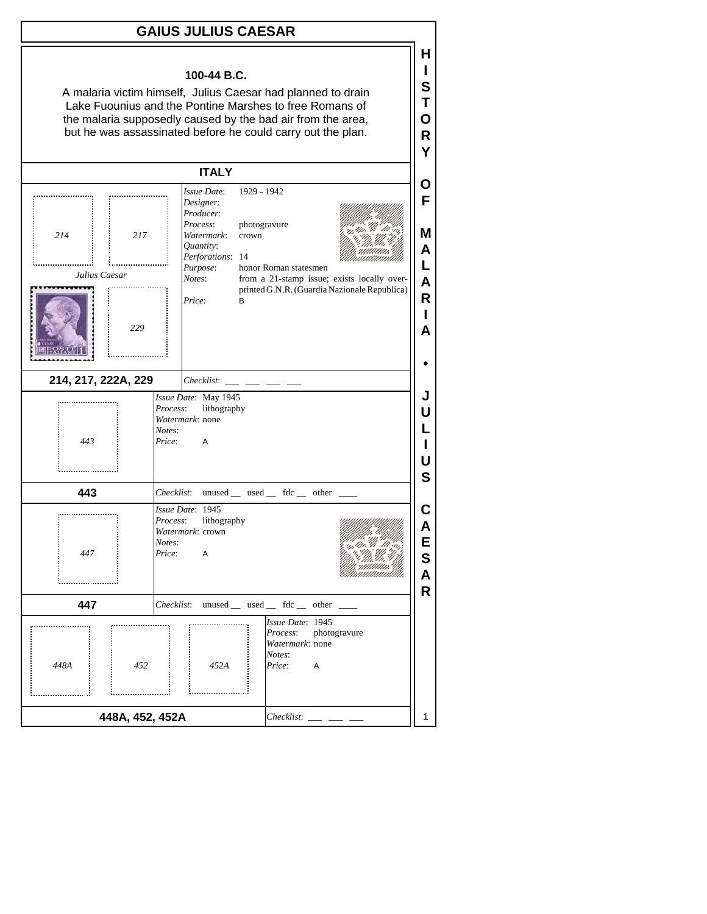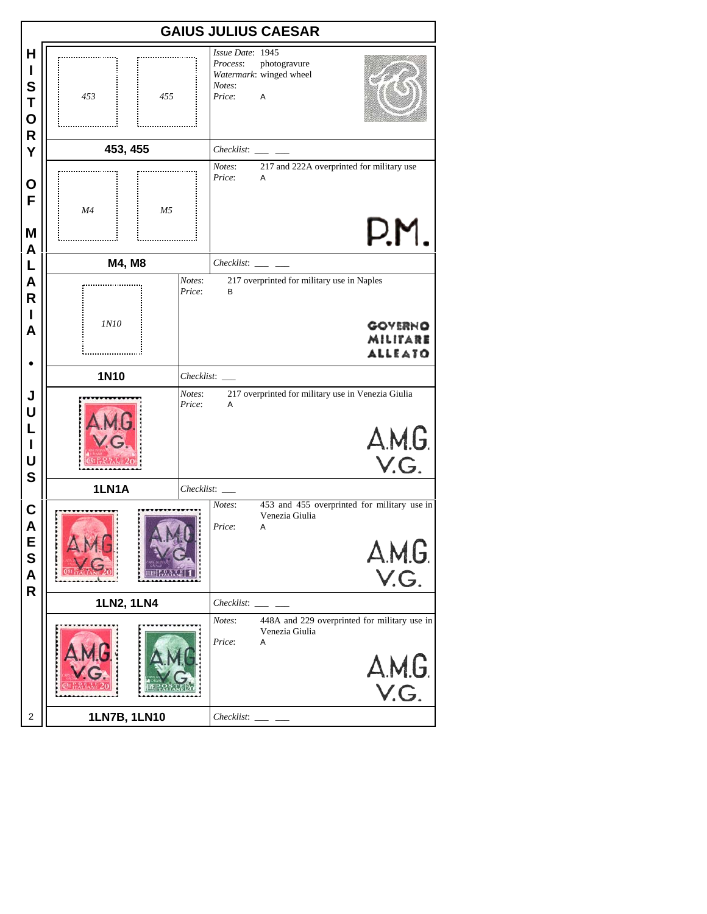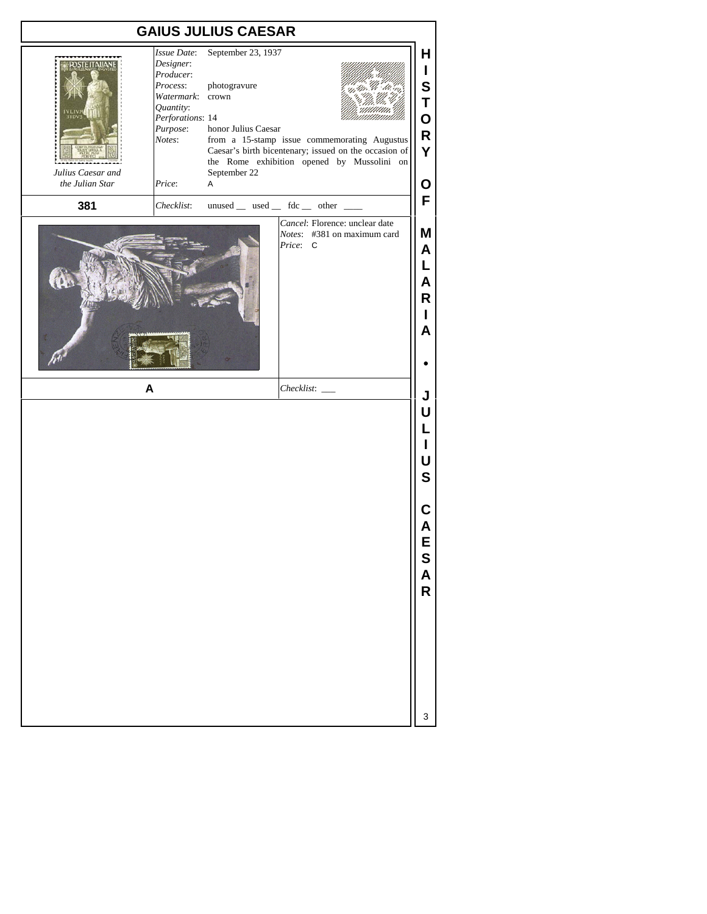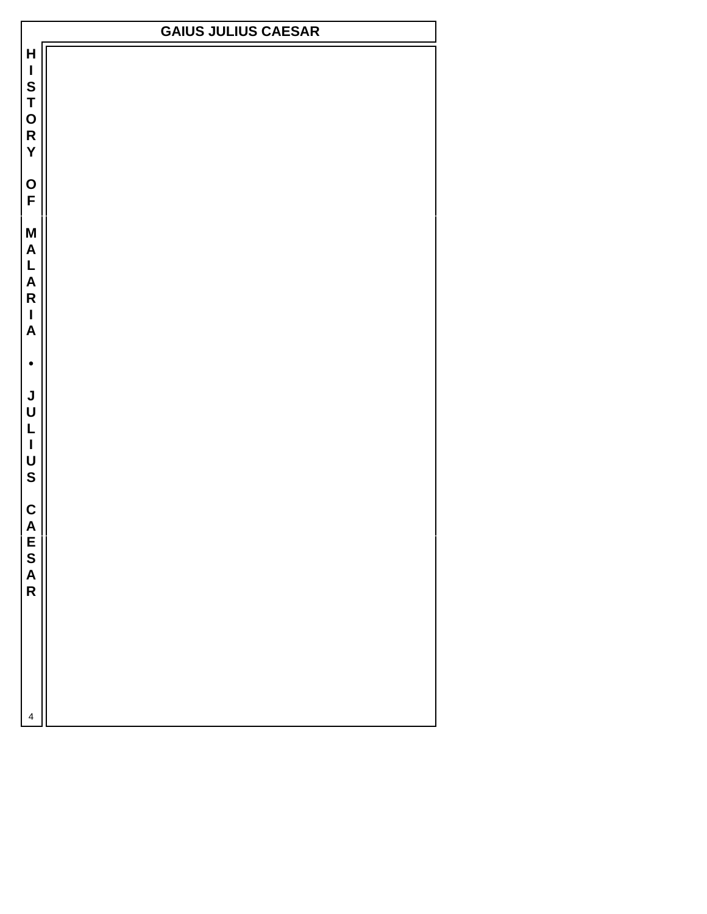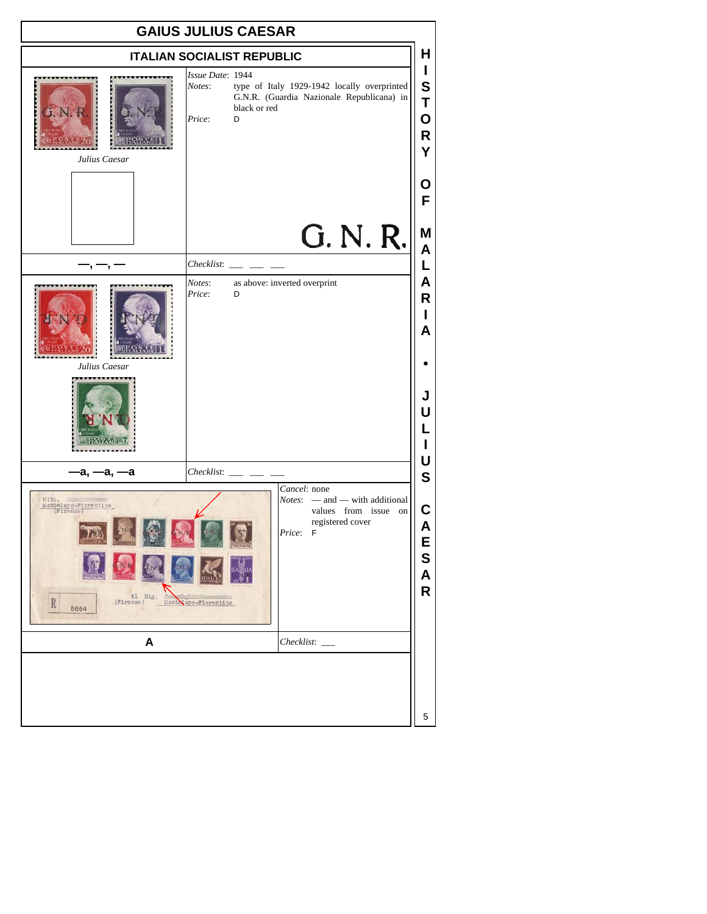| <b>GAIUS JULIUS CAESAR</b>                                                                  |                                                                                                                                                       |                                                 |  |
|---------------------------------------------------------------------------------------------|-------------------------------------------------------------------------------------------------------------------------------------------------------|-------------------------------------------------|--|
|                                                                                             | <b>ITALIAN SOCIALIST REPUBLIC</b>                                                                                                                     | н                                               |  |
| <b>LNGK</b><br>Julius Caesar                                                                | Issue Date: 1944<br>type of Italy 1929-1942 locally overprinted<br>Notes:<br>G.N.R. (Guardia Nazionale Republicana) in<br>black or red<br>Price:<br>D | $\mathbf{I}$<br>$\mathbf s$<br>T<br>О<br>R<br>Υ |  |
|                                                                                             | G. N. R.                                                                                                                                              | Ο<br>F<br>M                                     |  |
|                                                                                             | Checklist:                                                                                                                                            | $\overline{\mathsf{A}}$<br>L                    |  |
| Julius Caesar                                                                               | Notes:<br>as above: inverted overprint<br>Price:<br>D                                                                                                 | Α<br>R<br>L<br>A<br>J<br>U<br>L                 |  |
| -а, —а, —а                                                                                  | Checklist:                                                                                                                                            | U<br>$\mathbf S$                                |  |
| Montelupo-Fiorentino<br>Sig.<br>$\frac{\text{Al}}{\text{(P1rene)}}$<br>$\, {\bf R}$<br>5664 | Cancel: none<br>$Notes:$ - and - with additional<br>values from issue on<br>registered cover<br>Price: F<br>Monte upo-Fiorentino                      | С<br>Α<br>E<br>S<br>A<br>R                      |  |
| A                                                                                           | Checklist:                                                                                                                                            |                                                 |  |
|                                                                                             |                                                                                                                                                       | 5                                               |  |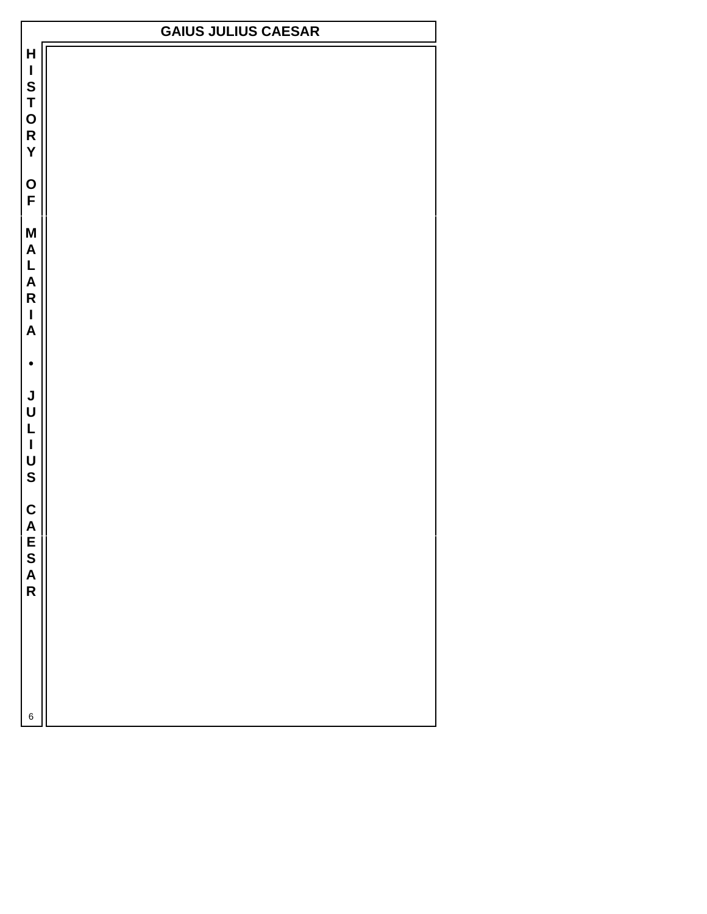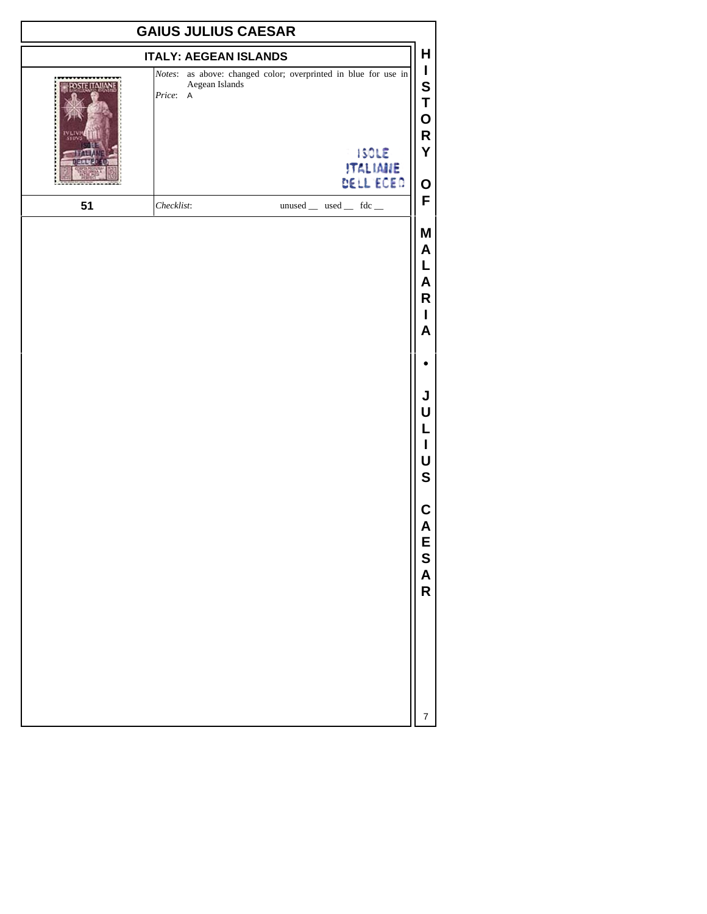| <b>GAIUS JULIUS CAESAR</b> |                                                                                              |                       |  |                              |                                       |
|----------------------------|----------------------------------------------------------------------------------------------|-----------------------|--|------------------------------|---------------------------------------|
|                            | <b>ITALY: AEGEAN ISLANDS</b>                                                                 |                       |  |                              | н                                     |
|                            | Notes: as above: changed color; overprinted in blue for use in<br>Aegean Islands<br>Price: A |                       |  | <b>ISOLE</b>                 | $\mathbf{I}$<br>S<br>T<br>Ο<br>R<br>Υ |
|                            |                                                                                              |                       |  | <b>ITALIANE</b><br>DELL'ECEO | O                                     |
| 51                         | Checklist:                                                                                   | unused _ used _ fdc _ |  |                              | F                                     |
|                            |                                                                                              |                       |  |                              | Μ<br>A<br>L<br>A<br>R<br>L<br>A       |
|                            |                                                                                              |                       |  |                              |                                       |
|                            |                                                                                              |                       |  |                              | J<br>U<br>L<br>U<br>S                 |
|                            |                                                                                              |                       |  |                              | C<br>Α<br>E<br>S<br>A<br>R            |
|                            |                                                                                              |                       |  |                              | 7                                     |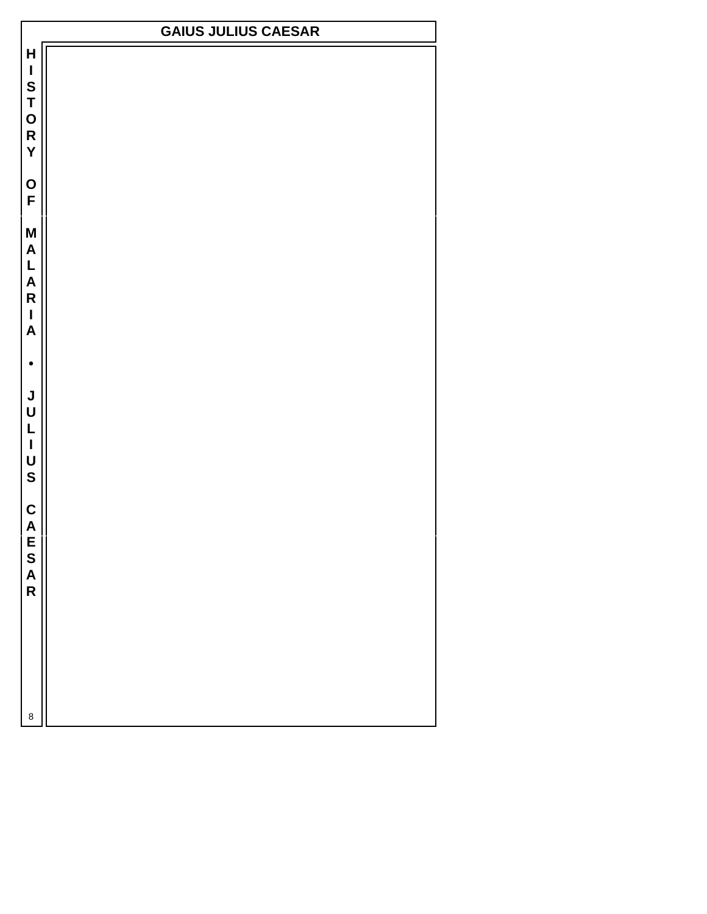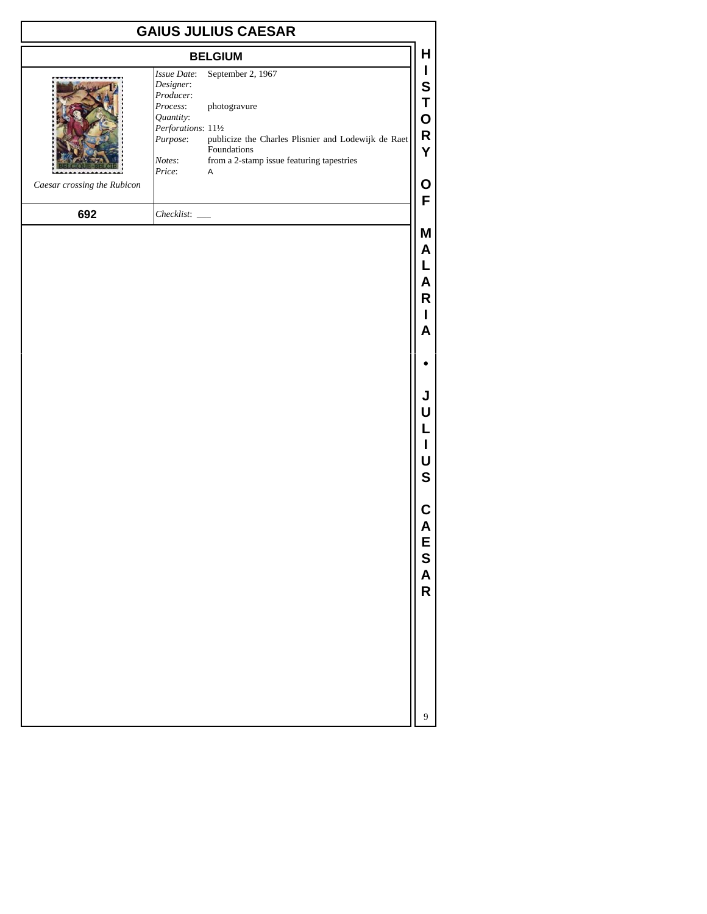|                             |                                                                                                                       | <b>GAIUS JULIUS CAESAR</b>                                                                                                                                          |                                                                                                       |
|-----------------------------|-----------------------------------------------------------------------------------------------------------------------|---------------------------------------------------------------------------------------------------------------------------------------------------------------------|-------------------------------------------------------------------------------------------------------|
|                             |                                                                                                                       | <b>BELGIUM</b>                                                                                                                                                      | H                                                                                                     |
| Caesar crossing the Rubicon | Issue Date:<br>Designer:<br>Producer:<br>Process:<br>Quantity:<br>Perforations: 111/2<br>Purpose:<br>Notes:<br>Price: | September 2, 1967<br>photogravure<br>publicize the Charles Plisnier and Lodewijk de Raet<br>Foundations<br>from a 2-stamp issue featuring tapestries<br>$\mathsf A$ | L<br>S<br>Τ<br>$\mathbf O$<br>R<br>Υ<br>O                                                             |
| 692                         |                                                                                                                       |                                                                                                                                                                     | F                                                                                                     |
|                             |                                                                                                                       |                                                                                                                                                                     | Μ<br>A<br>L<br>A<br>R<br>L<br>A<br>J<br>U<br>L<br>L<br>U<br>$\mathbf S$<br>С<br>A<br>E<br>S<br>A<br>R |
|                             |                                                                                                                       |                                                                                                                                                                     | 9                                                                                                     |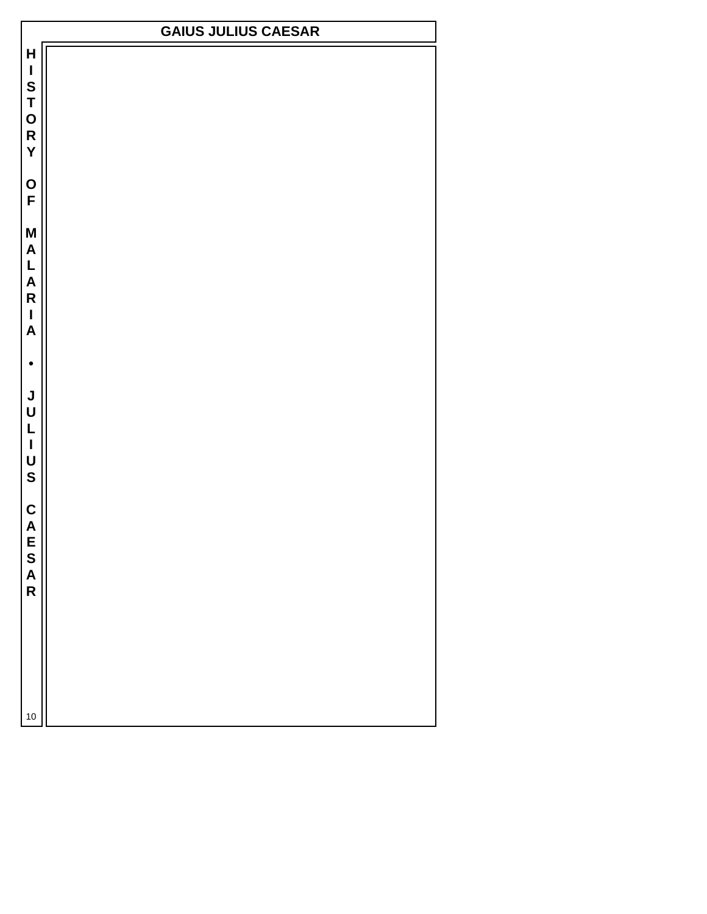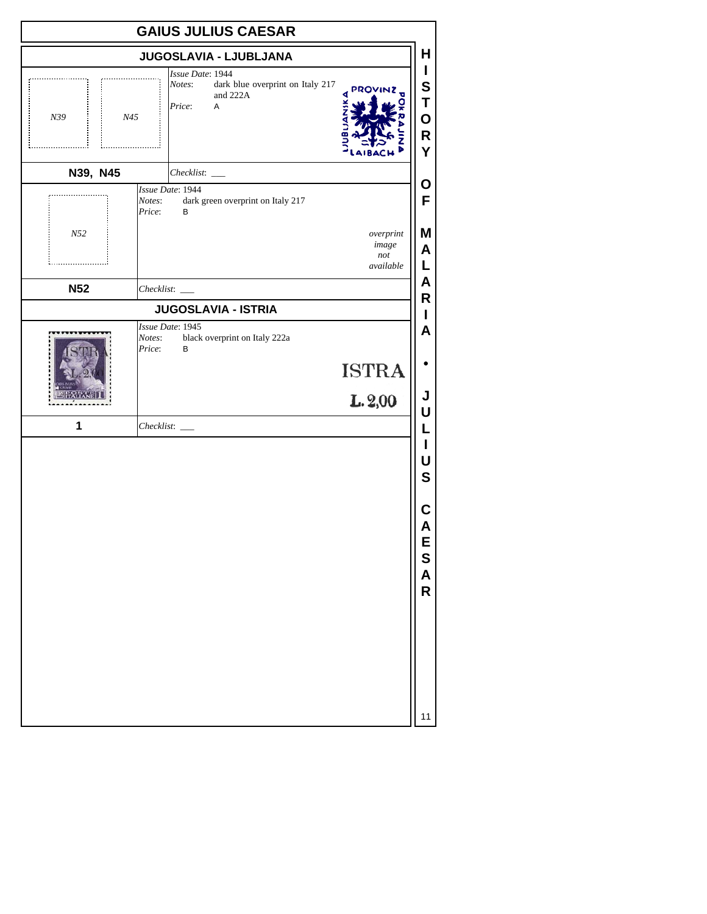|                 | <b>GAIUS JULIUS CAESAR</b>                                                                           |                            |
|-----------------|------------------------------------------------------------------------------------------------------|----------------------------|
|                 | JUGOSLAVIA - LJUBLJANA                                                                               | н                          |
| N39<br>N45<br>. | Issue Date: 1944<br>dark blue overprint on Italy 217<br>Notes:<br>PROVINZ<br>and 222A<br>Price:<br>Α | I<br>S<br>T<br>O<br>R<br>Υ |
| N39, N45        | Checklist:                                                                                           |                            |
|                 | Issue Date: 1944<br>dark green overprint on Italy 217<br>Notes:<br>Price:<br>B                       | Ο<br>F                     |
| N52<br>.        | overprint<br>image<br>not<br>available                                                               | Μ<br>A<br>L                |
| <b>N52</b>      |                                                                                                      | A<br>R                     |
|                 | <b>JUGOSLAVIA - ISTRIA</b>                                                                           | I                          |
|                 | Issue Date: 1945<br>black overprint on Italy 222a<br>Notes:<br>Price:<br>B<br><b>ISTRA</b>           | A<br>J                     |
| 1               | L.2,00                                                                                               | U<br>L                     |
|                 |                                                                                                      | I<br>U<br>$\mathbf S$      |
|                 |                                                                                                      | C<br>A<br>E<br>S           |
|                 |                                                                                                      | A<br>R                     |
|                 |                                                                                                      |                            |
|                 |                                                                                                      | 11                         |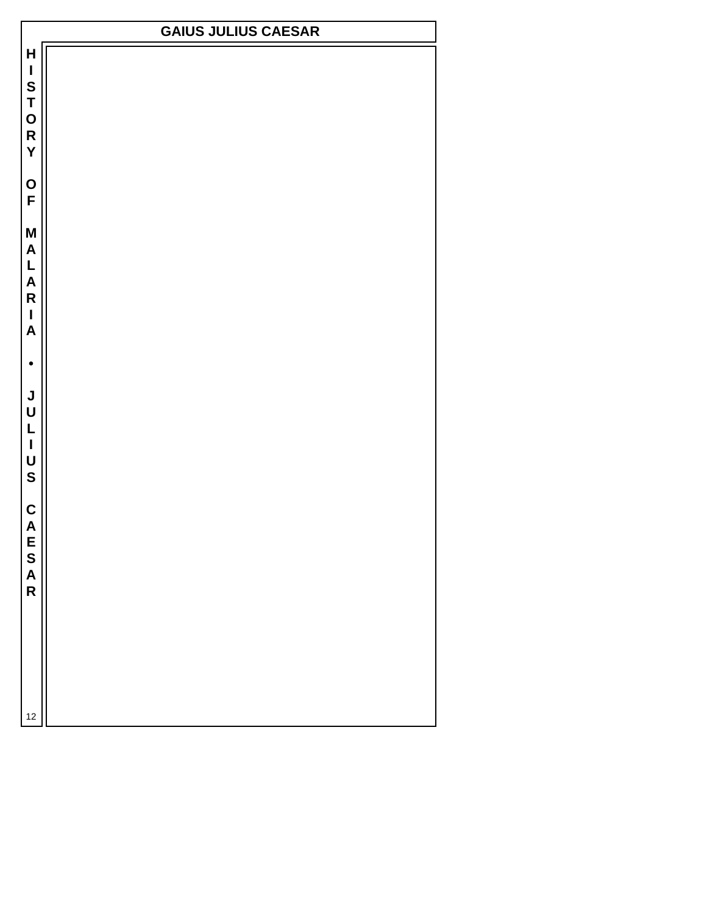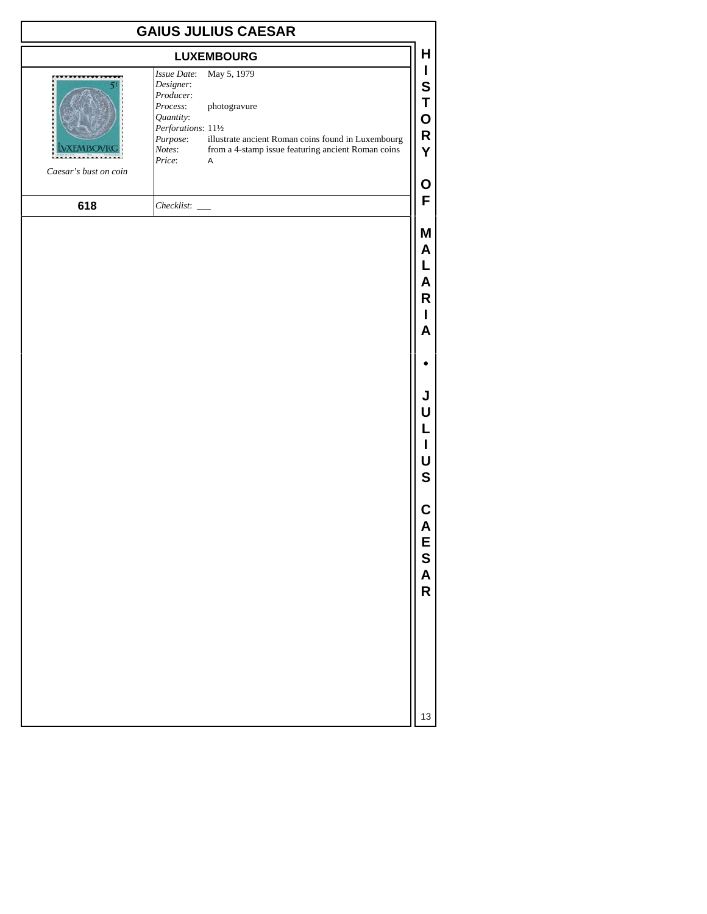| <b>GAIUS JULIUS CAESAR</b> |                                                                                                                                                                                                                                                                                 |                                      |  |
|----------------------------|---------------------------------------------------------------------------------------------------------------------------------------------------------------------------------------------------------------------------------------------------------------------------------|--------------------------------------|--|
|                            | <b>LUXEMBOURG</b>                                                                                                                                                                                                                                                               | Н                                    |  |
| Caesar's bust on coin      | May 5, 1979<br>Issue Date:<br>Designer:<br>Producer:<br>Process:<br>photogravure<br>Quantity:<br>Perforations: 111/2<br>illustrate ancient Roman coins found in Luxembourg<br>Purpose:<br>from a 4-stamp issue featuring ancient Roman coins<br>Notes:<br>Price:<br>$\mathsf A$ | I<br>S<br>T<br>O<br>R<br>Y           |  |
|                            |                                                                                                                                                                                                                                                                                 | О                                    |  |
| 618                        | $Checklist:$ $\_$                                                                                                                                                                                                                                                               | F                                    |  |
|                            |                                                                                                                                                                                                                                                                                 | Μ<br>A<br>L<br>A<br>R<br>L<br>A      |  |
|                            |                                                                                                                                                                                                                                                                                 |                                      |  |
|                            |                                                                                                                                                                                                                                                                                 | J<br>U<br>L<br>I<br>U<br>$\mathbf S$ |  |
|                            |                                                                                                                                                                                                                                                                                 | С<br>A<br>E<br>S<br>A<br>R           |  |
|                            |                                                                                                                                                                                                                                                                                 | 13                                   |  |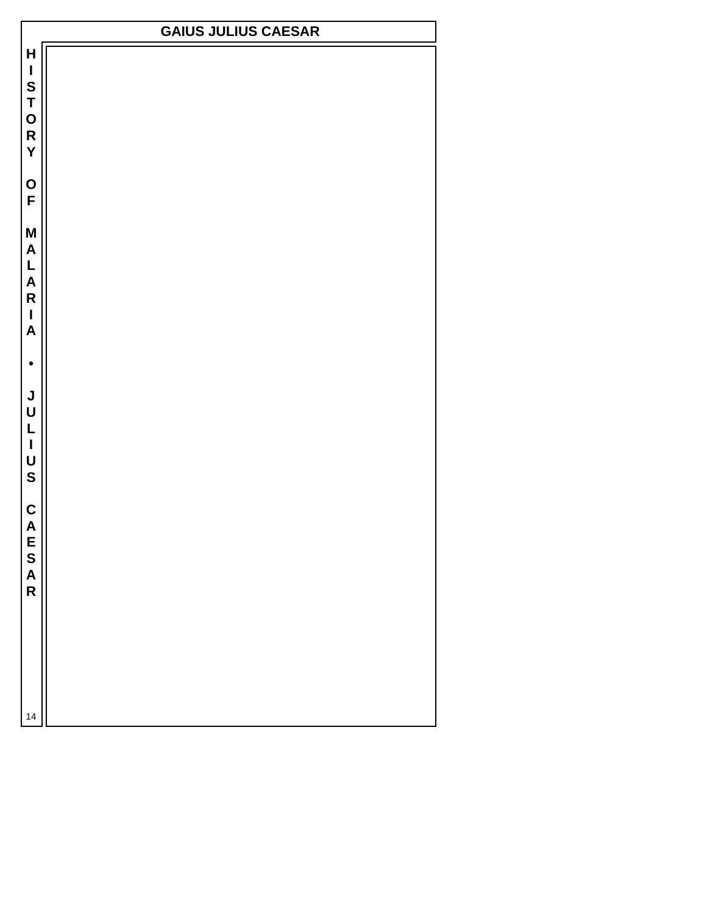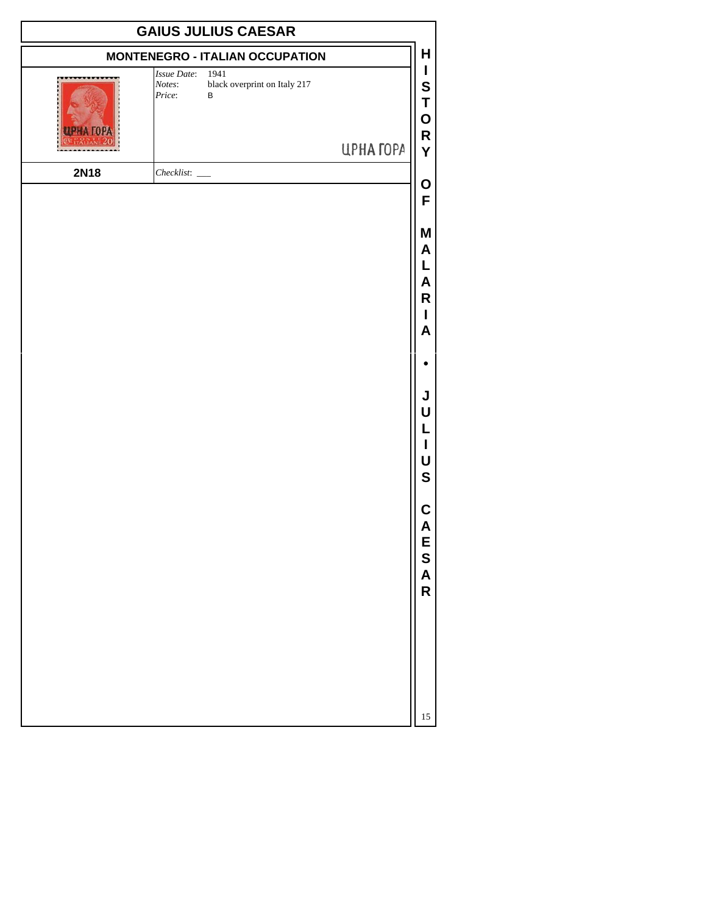| <b>GAIUS JULIUS CAESAR</b> |                                                                                           |           |                                      |
|----------------------------|-------------------------------------------------------------------------------------------|-----------|--------------------------------------|
|                            | <b>MONTENEGRO - ITALIAN OCCUPATION</b>                                                    |           | H                                    |
|                            | <b>Issue Date:</b><br>1941<br>black overprint on Italy 217<br>Notes:<br>Price:<br>$\sf B$ | ЦРНА ГОРА | I<br>S<br>Τ<br>Ο<br>R<br>Y           |
| <b>2N18</b>                |                                                                                           |           |                                      |
|                            |                                                                                           |           | O<br>F                               |
|                            |                                                                                           |           |                                      |
|                            |                                                                                           |           | Μ<br>A<br>L<br>A<br>R<br>I<br>A      |
|                            |                                                                                           |           |                                      |
|                            |                                                                                           |           | J<br>U<br>L<br>I<br>U<br>$\mathbf S$ |
|                            |                                                                                           |           | C<br>A<br>E<br>S<br>A<br>R           |
|                            |                                                                                           |           | 15                                   |